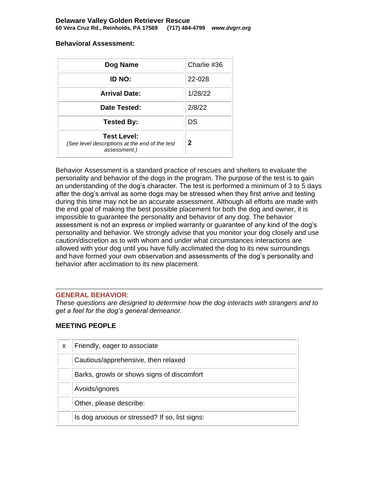#### **Behavioral Assessment:**

| Dog Name                                                                             | Charlie #36 |
|--------------------------------------------------------------------------------------|-------------|
| ID NO:                                                                               | 22-028      |
| <b>Arrival Date:</b>                                                                 | 1/28/22     |
| Date Tested:                                                                         | 2/8/22      |
| <b>Tested By:</b>                                                                    | DS          |
| <b>Test Level:</b><br>(See level descriptions at the end of the test<br>assessment.) | $\mathbf 2$ |

Behavior Assessment is a standard practice of rescues and shelters to evaluate the personality and behavior of the dogs in the program. The purpose of the test is to gain an understanding of the dog's character. The test is performed a minimum of 3 to 5 days after the dog's arrival as some dogs may be stressed when they first arrive and testing during this time may not be an accurate assessment. Although all efforts are made with the end goal of making the best possible placement for both the dog and owner, it is impossible to guarantee the personality and behavior of any dog. The behavior assessment is not an express or implied warranty or guarantee of any kind of the dog's personality and behavior. We strongly advise that you monitor your dog closely and use caution/discretion as to with whom and under what circumstances interactions are allowed with your dog until you have fully acclimated the dog to its new surroundings and have formed your own observation and assessments of the dog's personality and behavior after acclimation to its new placement.

#### **GENERAL BEHAVIOR**:

*These questions are designed to determine how the dog interacts with strangers and to get a feel for the dog's general demeanor.*

#### **MEETING PEOPLE**

| X | Friendly, eager to associate                   |
|---|------------------------------------------------|
|   | Cautious/apprehensive, then relaxed            |
|   | Barks, growls or shows signs of discomfort     |
|   | Avoids/ignores                                 |
|   | Other, please describe:                        |
|   | Is dog anxious or stressed? If so, list signs: |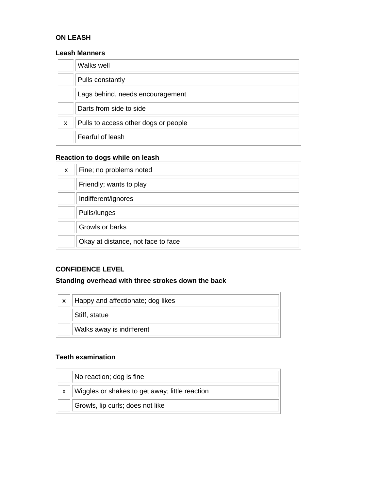# **ON LEASH**

### **Leash Manners**

|   | Walks well                           |
|---|--------------------------------------|
|   | Pulls constantly                     |
|   | Lags behind, needs encouragement     |
|   | Darts from side to side              |
| X | Pulls to access other dogs or people |
|   | Fearful of leash                     |

# **Reaction to dogs while on leash**

| X | Fine; no problems noted            |
|---|------------------------------------|
|   | Friendly; wants to play            |
|   | Indifferent/ignores                |
|   | Pulls/lunges                       |
|   | Growls or barks                    |
|   | Okay at distance, not face to face |

# **CONFIDENCE LEVEL**

# **Standing overhead with three strokes down the back**

| Happy and affectionate; dog likes |
|-----------------------------------|
| Stiff, statue                     |
| Walks away is indifferent         |

# **Teeth examination**

| No reaction; dog is fine                       |
|------------------------------------------------|
| Wiggles or shakes to get away; little reaction |
| Growls, lip curls; does not like               |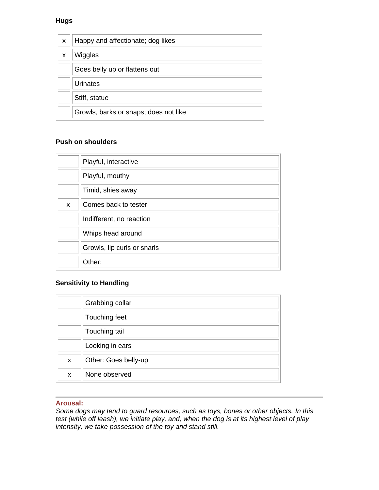# **Hugs**

| X | Happy and affectionate; dog likes     |
|---|---------------------------------------|
| X | Wiggles                               |
|   | Goes belly up or flattens out         |
|   | Urinates                              |
|   | Stiff, statue                         |
|   | Growls, barks or snaps; does not like |

### **Push on shoulders**

|   | Playful, interactive        |
|---|-----------------------------|
|   | Playful, mouthy             |
|   | Timid, shies away           |
| X | Comes back to tester        |
|   | Indifferent, no reaction    |
|   | Whips head around           |
|   | Growls, lip curls or snarls |
|   | Other:                      |

# **Sensitivity to Handling**

|   | Grabbing collar      |
|---|----------------------|
|   | Touching feet        |
|   | Touching tail        |
|   | Looking in ears      |
| X | Other: Goes belly-up |
| X | None observed        |

### **Arousal:**

*Some dogs may tend to guard resources, such as toys, bones or other objects. In this test (while off leash), we initiate play, and, when the dog is at its highest level of play intensity, we take possession of the toy and stand still.*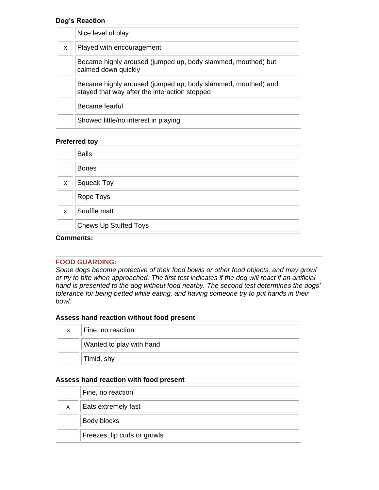### **Dog's Reaction**

|   | Nice level of play                                                                                            |
|---|---------------------------------------------------------------------------------------------------------------|
| X | Played with encouragement                                                                                     |
|   | Became highly aroused (jumped up, body slammed, mouthed) but<br>calmed down quickly                           |
|   | Became highly aroused (jumped up, body slammed, mouthed) and<br>stayed that way after the interaction stopped |
|   | Became fearful                                                                                                |
|   | Showed little/no interest in playing                                                                          |

### **Preferred toy**

|   | <b>Balls</b>                 |
|---|------------------------------|
|   | <b>Bones</b>                 |
| X | <b>Squeak Toy</b>            |
|   | Rope Toys                    |
| X | Snuffle matt                 |
|   | <b>Chews Up Stuffed Toys</b> |

#### **Comments:**

#### **FOOD GUARDING:**

*Some dogs become protective of their food bowls or other food objects, and may growl or try to bite when approached. The first test indicates if the dog will react if an artificial hand is presented to the dog without food nearby. The second test determines the dogs' tolerance for being petted while eating, and having someone try to put hands in their bowl.* 

### **Assess hand reaction without food present**

| $\mathsf{x}$ | Fine, no reaction        |
|--------------|--------------------------|
|              | Wanted to play with hand |
|              | Timid, shy               |

#### **Assess hand reaction with food present**

|    | Fine, no reaction            |
|----|------------------------------|
| X. | Eats extremely fast          |
|    | Body blocks                  |
|    | Freezes, lip curls or growls |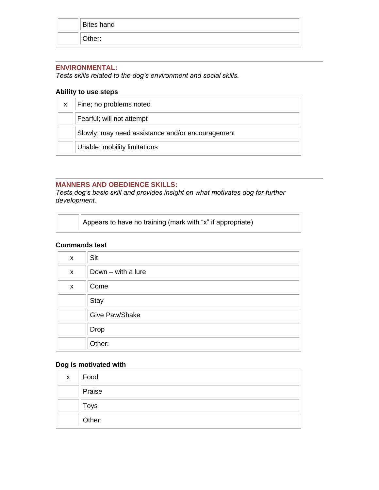| <b>Bites hand</b> |
|-------------------|
| Other:            |

### **ENVIRONMENTAL:**

*Tests skills related to the dog's environment and social skills.*

## **Ability to use steps**

| X. | Fine; no problems noted                          |
|----|--------------------------------------------------|
|    | Fearful; will not attempt                        |
|    | Slowly; may need assistance and/or encouragement |
|    | Unable; mobility limitations                     |

# **MANNERS AND OBEDIENCE SKILLS:**

*Tests dog's basic skill and provides insight on what motivates dog for further development.* 

| Appears to have no training (mark with "x" if appropriate) |
|------------------------------------------------------------|
|------------------------------------------------------------|

## **Commands test**

| X | Sit                |
|---|--------------------|
| X | Down - with a lure |
| X | Come               |
|   | Stay               |
|   | Give Paw/Shake     |
|   | Drop               |
|   | Other:             |

## **Dog is motivated with**

| $\mathsf{X}$ | $\vert$ Food |
|--------------|--------------|
|              | Praise       |
|              | Toys         |
|              | Other:       |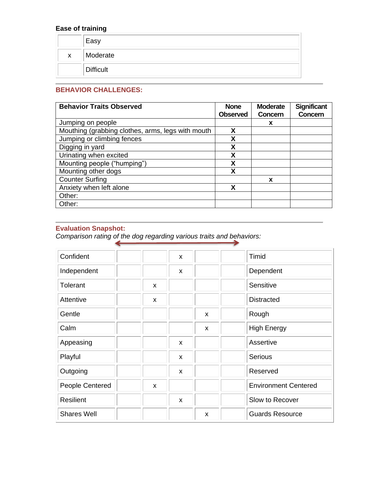# **Ease of training**

|    | Easy             |
|----|------------------|
| X. | Moderate         |
|    | <b>Difficult</b> |

# **BEHAVIOR CHALLENGES:**

| <b>Behavior Traits Observed</b>                   | <b>None</b>     | <b>Moderate</b> | <b>Significant</b> |
|---------------------------------------------------|-----------------|-----------------|--------------------|
|                                                   | <b>Observed</b> | Concern         | Concern            |
| Jumping on people                                 |                 | x               |                    |
| Mouthing (grabbing clothes, arms, legs with mouth | X               |                 |                    |
| Jumping or climbing fences                        | X               |                 |                    |
| Digging in yard                                   | χ               |                 |                    |
| Urinating when excited                            | X               |                 |                    |
| Mounting people ("humping")                       | X               |                 |                    |
| Mounting other dogs                               | X               |                 |                    |
| <b>Counter Surfing</b>                            |                 | X               |                    |
| Anxiety when left alone                           | χ               |                 |                    |
| Other:                                            |                 |                 |                    |
| Other:                                            |                 |                 |                    |

## **Evaluation Snapshot:**

*Comparison rating of the dog regarding various traits and behaviors:*

| Confident          |   | $\mathsf{x}$ |                           | Timid                       |
|--------------------|---|--------------|---------------------------|-----------------------------|
| Independent        |   | X            |                           | Dependent                   |
| Tolerant           | X |              |                           | Sensitive                   |
| Attentive          | X |              |                           | <b>Distracted</b>           |
| Gentle             |   |              | $\boldsymbol{\mathsf{x}}$ | Rough                       |
| Calm               |   |              | $\boldsymbol{\mathsf{x}}$ | <b>High Energy</b>          |
| Appeasing          |   | X            |                           | Assertive                   |
| Playful            |   | X            |                           | <b>Serious</b>              |
| Outgoing           |   | X            |                           | Reserved                    |
| People Centered    | X |              |                           | <b>Environment Centered</b> |
| Resilient          |   | X            |                           | Slow to Recover             |
| <b>Shares Well</b> |   |              | X                         | <b>Guards Resource</b>      |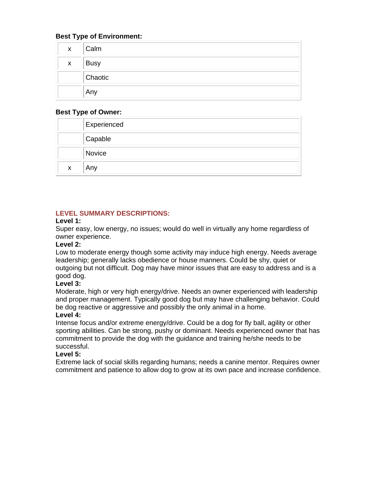## **Best Type of Environment:**

| $\mathsf{X}$ | Calm        |
|--------------|-------------|
| $\mathsf{X}$ | <b>Busy</b> |
|              | Chaotic     |
|              | Any         |

### **Best Type of Owner:**

|                           | <b>Experienced</b> |
|---------------------------|--------------------|
|                           | Capable            |
|                           | Novice             |
| $\boldsymbol{\mathsf{x}}$ | , Any              |

## **LEVEL SUMMARY DESCRIPTIONS:**

## **Level 1:**

Super easy, low energy, no issues; would do well in virtually any home regardless of owner experience.

### **Level 2:**

Low to moderate energy though some activity may induce high energy. Needs average leadership; generally lacks obedience or house manners. Could be shy, quiet or outgoing but not difficult. Dog may have minor issues that are easy to address and is a good dog.

## **Level 3:**

Moderate, high or very high energy/drive. Needs an owner experienced with leadership and proper management. Typically good dog but may have challenging behavior. Could be dog reactive or aggressive and possibly the only animal in a home.

## **Level 4:**

Intense focus and/or extreme energy/drive. Could be a dog for fly ball, agility or other sporting abilities. Can be strong, pushy or dominant. Needs experienced owner that has commitment to provide the dog with the guidance and training he/she needs to be successful.

## **Level 5:**

Extreme lack of social skills regarding humans; needs a canine mentor. Requires owner commitment and patience to allow dog to grow at its own pace and increase confidence.